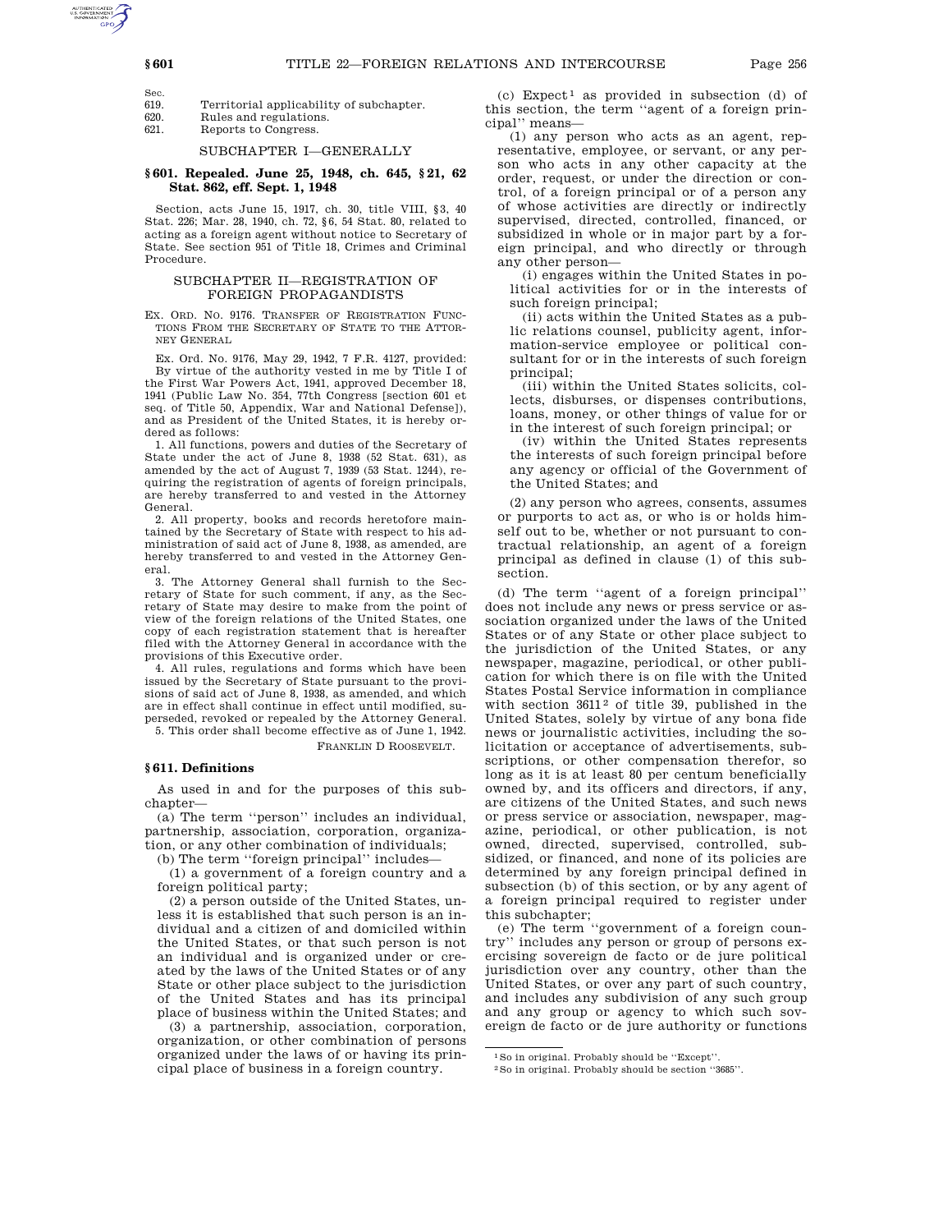Sec.

619. Territorial applicability of subchapter.<br>620. Rules and regulations.

- Rules and regulations.
- 621. Reports to Congress.

# SUBCHAPTER I—GENERALLY

## **§ 601. Repealed. June 25, 1948, ch. 645, § 21, 62 Stat. 862, eff. Sept. 1, 1948**

Section, acts June 15, 1917, ch. 30, title VIII, §3, 40 Stat. 226; Mar. 28, 1940, ch. 72, §6, 54 Stat. 80, related to acting as a foreign agent without notice to Secretary of State. See section 951 of Title 18, Crimes and Criminal Procedure.

## SUBCHAPTER II—REGISTRATION OF FOREIGN PROPAGANDISTS

EX. ORD. NO. 9176. TRANSFER OF REGISTRATION FUNC-TIONS FROM THE SECRETARY OF STATE TO THE ATTOR-NEY GENERAL

Ex. Ord. No. 9176, May 29, 1942, 7 F.R. 4127, provided: By virtue of the authority vested in me by Title I of the First War Powers Act, 1941, approved December 18, 1941 (Public Law No. 354, 77th Congress [section 601 et seq. of Title 50, Appendix, War and National Defense]), and as President of the United States, it is hereby ordered as follows:

1. All functions, powers and duties of the Secretary of State under the act of June 8, 1938 (52 Stat. 631), as amended by the act of August 7, 1939 (53 Stat. 1244), requiring the registration of agents of foreign principals, are hereby transferred to and vested in the Attorney General.

2. All property, books and records heretofore maintained by the Secretary of State with respect to his administration of said act of June 8, 1938, as amended, are hereby transferred to and vested in the Attorney General.

3. The Attorney General shall furnish to the Secretary of State for such comment, if any, as the Secretary of State may desire to make from the point of view of the foreign relations of the United States, one copy of each registration statement that is hereafter filed with the Attorney General in accordance with the provisions of this Executive order.

4. All rules, regulations and forms which have been issued by the Secretary of State pursuant to the provisions of said act of June 8, 1938, as amended, and which are in effect shall continue in effect until modified, superseded, revoked or repealed by the Attorney General.

5. This order shall become effective as of June 1, 1942.

FRANKLIN D ROOSEVELT.

### **§ 611. Definitions**

As used in and for the purposes of this subchapter—

(a) The term ''person'' includes an individual, partnership, association, corporation, organization, or any other combination of individuals;

(b) The term ''foreign principal'' includes—

(1) a government of a foreign country and a foreign political party;

(2) a person outside of the United States, unless it is established that such person is an individual and a citizen of and domiciled within the United States, or that such person is not an individual and is organized under or created by the laws of the United States or of any State or other place subject to the jurisdiction of the United States and has its principal place of business within the United States; and

(3) a partnership, association, corporation, organization, or other combination of persons organized under the laws of or having its principal place of business in a foreign country.

(c) Expect<sup>1</sup> as provided in subsection (d) of this section, the term ''agent of a foreign principal'' means—

(1) any person who acts as an agent, representative, employee, or servant, or any person who acts in any other capacity at the order, request, or under the direction or control, of a foreign principal or of a person any of whose activities are directly or indirectly supervised, directed, controlled, financed, or subsidized in whole or in major part by a foreign principal, and who directly or through any other person—

(i) engages within the United States in political activities for or in the interests of such foreign principal;

(ii) acts within the United States as a public relations counsel, publicity agent, information-service employee or political consultant for or in the interests of such foreign principal;

(iii) within the United States solicits, collects, disburses, or dispenses contributions, loans, money, or other things of value for or in the interest of such foreign principal; or

(iv) within the United States represents the interests of such foreign principal before any agency or official of the Government of the United States; and

(2) any person who agrees, consents, assumes or purports to act as, or who is or holds himself out to be, whether or not pursuant to contractual relationship, an agent of a foreign principal as defined in clause (1) of this subsection.

(d) The term ''agent of a foreign principal'' does not include any news or press service or association organized under the laws of the United States or of any State or other place subject to the jurisdiction of the United States, or any newspaper, magazine, periodical, or other publication for which there is on file with the United States Postal Service information in compliance with section  $3611^2$  of title 39, published in the United States, solely by virtue of any bona fide news or journalistic activities, including the solicitation or acceptance of advertisements, subscriptions, or other compensation therefor, so long as it is at least 80 per centum beneficially owned by, and its officers and directors, if any, are citizens of the United States, and such news or press service or association, newspaper, magazine, periodical, or other publication, is not owned, directed, supervised, controlled, subsidized, or financed, and none of its policies are determined by any foreign principal defined in subsection (b) of this section, or by any agent of a foreign principal required to register under this subchapter;

(e) The term ''government of a foreign country'' includes any person or group of persons exercising sovereign de facto or de jure political jurisdiction over any country, other than the United States, or over any part of such country, and includes any subdivision of any such group and any group or agency to which such sovereign de facto or de jure authority or functions

<sup>1</sup>So in original. Probably should be ''Except''.

<sup>2</sup>So in original. Probably should be section ''3685''.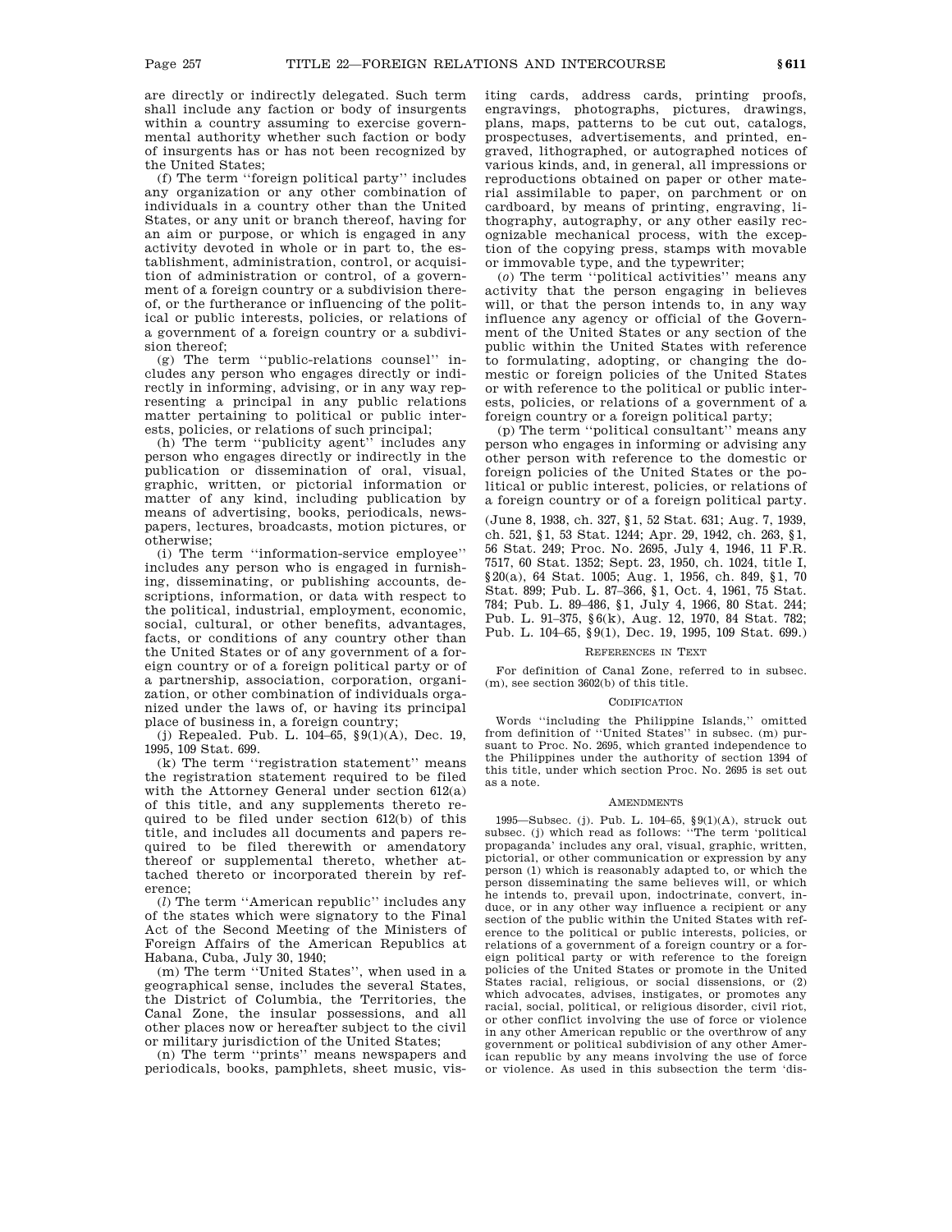are directly or indirectly delegated. Such term shall include any faction or body of insurgents within a country assuming to exercise governmental authority whether such faction or body of insurgents has or has not been recognized by the United States;

(f) The term ''foreign political party'' includes any organization or any other combination of individuals in a country other than the United States, or any unit or branch thereof, having for an aim or purpose, or which is engaged in any activity devoted in whole or in part to, the establishment, administration, control, or acquisition of administration or control, of a government of a foreign country or a subdivision thereof, or the furtherance or influencing of the political or public interests, policies, or relations of a government of a foreign country or a subdivision thereof;

(g) The term ''public-relations counsel'' includes any person who engages directly or indirectly in informing, advising, or in any way representing a principal in any public relations matter pertaining to political or public interests, policies, or relations of such principal;

(h) The term ''publicity agent'' includes any person who engages directly or indirectly in the publication or dissemination of oral, visual, graphic, written, or pictorial information or matter of any kind, including publication by means of advertising, books, periodicals, newspapers, lectures, broadcasts, motion pictures, or otherwise;

(i) The term ''information-service employee'' includes any person who is engaged in furnishing, disseminating, or publishing accounts, descriptions, information, or data with respect to the political, industrial, employment, economic, social, cultural, or other benefits, advantages, facts, or conditions of any country other than the United States or of any government of a foreign country or of a foreign political party or of a partnership, association, corporation, organization, or other combination of individuals organized under the laws of, or having its principal place of business in, a foreign country;

(j) Repealed. Pub. L. 104–65, §9(1)(A), Dec. 19, 1995, 109 Stat. 699.

(k) The term ''registration statement'' means the registration statement required to be filed with the Attorney General under section 612(a) of this title, and any supplements thereto required to be filed under section 612(b) of this title, and includes all documents and papers required to be filed therewith or amendatory thereof or supplemental thereto, whether attached thereto or incorporated therein by reference;

(*l*) The term ''American republic'' includes any of the states which were signatory to the Final Act of the Second Meeting of the Ministers of Foreign Affairs of the American Republics at Habana, Cuba, July 30, 1940;

(m) The term ''United States'', when used in a geographical sense, includes the several States, the District of Columbia, the Territories, the Canal Zone, the insular possessions, and all other places now or hereafter subject to the civil or military jurisdiction of the United States;

(n) The term ''prints'' means newspapers and periodicals, books, pamphlets, sheet music, visiting cards, address cards, printing proofs, engravings, photographs, pictures, drawings, plans, maps, patterns to be cut out, catalogs, prospectuses, advertisements, and printed, engraved, lithographed, or autographed notices of various kinds, and, in general, all impressions or reproductions obtained on paper or other material assimilable to paper, on parchment or on cardboard, by means of printing, engraving, lithography, autography, or any other easily recognizable mechanical process, with the exception of the copying press, stamps with movable or immovable type, and the typewriter;

(*o*) The term ''political activities'' means any activity that the person engaging in believes will, or that the person intends to, in any way influence any agency or official of the Government of the United States or any section of the public within the United States with reference to formulating, adopting, or changing the domestic or foreign policies of the United States or with reference to the political or public interests, policies, or relations of a government of a foreign country or a foreign political party;

(p) The term ''political consultant'' means any person who engages in informing or advising any other person with reference to the domestic or foreign policies of the United States or the political or public interest, policies, or relations of a foreign country or of a foreign political party.

(June 8, 1938, ch. 327, §1, 52 Stat. 631; Aug. 7, 1939, ch. 521, §1, 53 Stat. 1244; Apr. 29, 1942, ch. 263, §1, 56 Stat. 249; Proc. No. 2695, July 4, 1946, 11 F.R. 7517, 60 Stat. 1352; Sept. 23, 1950, ch. 1024, title I, §20(a), 64 Stat. 1005; Aug. 1, 1956, ch. 849, §1, 70 Stat. 899; Pub. L. 87–366, §1, Oct. 4, 1961, 75 Stat. 784; Pub. L. 89–486, §1, July 4, 1966, 80 Stat. 244; Pub. L. 91–375, §6(k), Aug. 12, 1970, 84 Stat. 782; Pub. L. 104–65, §9(1), Dec. 19, 1995, 109 Stat. 699.)

### REFERENCES IN TEXT

For definition of Canal Zone, referred to in subsec. (m), see section 3602(b) of this title.

#### **CODIFICATION**

Words ''including the Philippine Islands,'' omitted from definition of ''United States'' in subsec. (m) pursuant to Proc. No. 2695, which granted independence to the Philippines under the authority of section 1394 of this title, under which section Proc. No. 2695 is set out as a note.

#### AMENDMENTS

1995—Subsec. (j). Pub. L. 104–65, §9(1)(A), struck out subsec. (j) which read as follows: "The term 'political propaganda' includes any oral, visual, graphic, written, pictorial, or other communication or expression by any person (1) which is reasonably adapted to, or which the person disseminating the same believes will, or which he intends to, prevail upon, indoctrinate, convert, induce, or in any other way influence a recipient or any section of the public within the United States with reference to the political or public interests, policies, or relations of a government of a foreign country or a foreign political party or with reference to the foreign policies of the United States or promote in the United States racial, religious, or social dissensions, or (2) which advocates, advises, instigates, or promotes any racial, social, political, or religious disorder, civil riot, or other conflict involving the use of force or violence in any other American republic or the overthrow of any government or political subdivision of any other American republic by any means involving the use of force or violence. As used in this subsection the term 'dis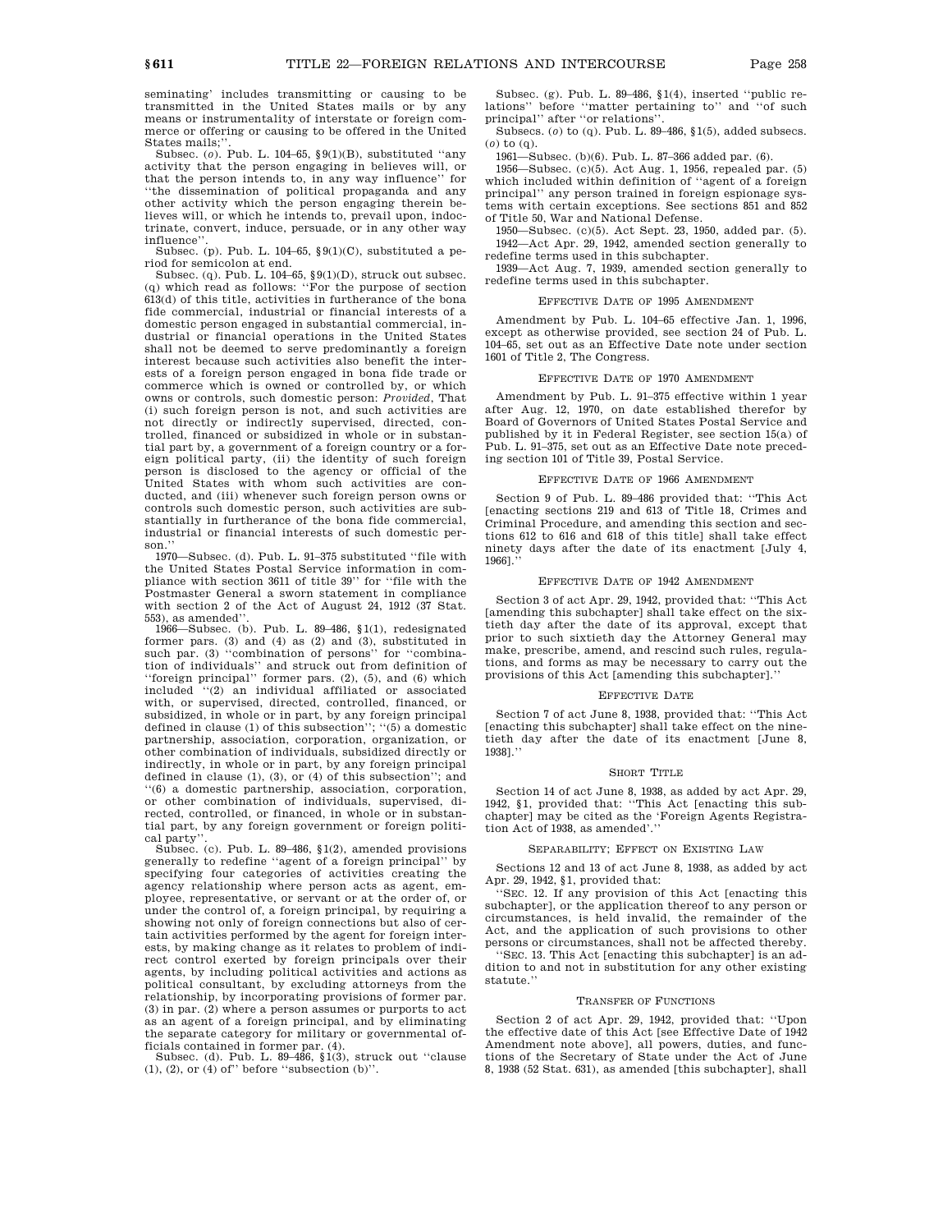seminating' includes transmitting or causing to be transmitted in the United States mails or by any means or instrumentality of interstate or foreign commerce or offering or causing to be offered in the United States mails;''.

Subsec. (*o*). Pub. L. 104–65, §9(1)(B), substituted ''any activity that the person engaging in believes will, or that the person intends to, in any way influence'' for ''the dissemination of political propaganda and any other activity which the person engaging therein believes will, or which he intends to, prevail upon, indoctrinate, convert, induce, persuade, or in any other way influence''.

Subsec. (p). Pub. L.  $104-65$ ,  $9(1)(C)$ , substituted a period for semicolon at end.

Subsec. (q). Pub. L.  $104-65$ ,  $9(1)(D)$ , struck out subsec. (q) which read as follows: ''For the purpose of section 613(d) of this title, activities in furtherance of the bona fide commercial, industrial or financial interests of a domestic person engaged in substantial commercial, industrial or financial operations in the United States shall not be deemed to serve predominantly a foreign interest because such activities also benefit the interests of a foreign person engaged in bona fide trade or commerce which is owned or controlled by, or which owns or controls, such domestic person: *Provided*, That (i) such foreign person is not, and such activities are not directly or indirectly supervised, directed, controlled, financed or subsidized in whole or in substantial part by, a government of a foreign country or a foreign political party, (ii) the identity of such foreign person is disclosed to the agency or official of the United States with whom such activities are conducted, and (iii) whenever such foreign person owns or controls such domestic person, such activities are substantially in furtherance of the bona fide commercial, industrial or financial interests of such domestic per-

son.'' 1970—Subsec. (d). Pub. L. 91–375 substituted ''file with the United States Postal Service information in com-pliance with section 3611 of title 39'' for ''file with the Postmaster General a sworn statement in compliance with section 2 of the Act of August 24, 1912 (37 Stat. 553), as amended''.

1966—Subsec. (b). Pub. L. 89–486, §1(1), redesignated former pars. (3) and (4) as (2) and (3), substituted in such par. (3) ''combination of persons'' for ''combination of individuals'' and struck out from definition of ''foreign principal'' former pars. (2), (5), and (6) which included ''(2) an individual affiliated or associated with, or supervised, directed, controlled, financed, or subsidized, in whole or in part, by any foreign principal defined in clause (1) of this subsection";  $\cdot$ (5) a domestic partnership, association, corporation, organization, or other combination of individuals, subsidized directly or indirectly, in whole or in part, by any foreign principal defined in clause (1), (3), or (4) of this subsection''; and ''(6) a domestic partnership, association, corporation, or other combination of individuals, supervised, directed, controlled, or financed, in whole or in substantial part, by any foreign government or foreign political party'

Subsec. (c). Pub. L. 89–486, §1(2), amended provisions generally to redefine ''agent of a foreign principal'' by specifying four categories of activities creating the agency relationship where person acts as agent, employee, representative, or servant or at the order of, or under the control of, a foreign principal, by requiring a showing not only of foreign connections but also of certain activities performed by the agent for foreign interests, by making change as it relates to problem of indirect control exerted by foreign principals over their agents, by including political activities and actions as political consultant, by excluding attorneys from the relationship, by incorporating provisions of former par. (3) in par. (2) where a person assumes or purports to act as an agent of a foreign principal, and by eliminating the separate category for military or governmental of-

ficials contained in former par. (4). Subsec. (d). Pub. L. 89–486, §1(3), struck out ''clause  $(1), (2),$  or  $(4)$  of" before "subsection  $(b)$ ".

Subsec. (g). Pub. L. 89–486, §1(4), inserted ''public relations'' before ''matter pertaining to'' and ''of such principal'' after ''or relations''.

Subsecs. (*o*) to (q). Pub. L. 89–486, §1(5), added subsecs. (*o*) to (q).

1961—Subsec. (b)(6). Pub. L. 87–366 added par. (6).

1956—Subsec. (c)(5). Act Aug. 1, 1956, repealed par. (5) which included within definition of ''agent of a foreign principal'' any person trained in foreign espionage systems with certain exceptions. See sections 851 and 852 of Title 50, War and National Defense.

1950—Subsec. (c)(5). Act Sept. 23, 1950, added par. (5). 1942—Act Apr. 29, 1942, amended section generally to redefine terms used in this subchapter.

1939—Act Aug. 7, 1939, amended section generally to redefine terms used in this subchapter.

## EFFECTIVE DATE OF 1995 AMENDMENT

Amendment by Pub. L. 104–65 effective Jan. 1, 1996, except as otherwise provided, see section 24 of Pub. L. 104–65, set out as an Effective Date note under section 1601 of Title 2, The Congress.

# EFFECTIVE DATE OF 1970 AMENDMENT

Amendment by Pub. L. 91–375 effective within 1 year after Aug. 12, 1970, on date established therefor by Board of Governors of United States Postal Service and published by it in Federal Register, see section 15(a) of Pub. L. 91–375, set out as an Effective Date note preceding section 101 of Title 39, Postal Service.

# EFFECTIVE DATE OF 1966 AMENDMENT

Section 9 of Pub. L. 89–486 provided that: ''This Act [enacting sections 219 and 613 of Title 18, Crimes and Criminal Procedure, and amending this section and sections 612 to 616 and 618 of this title] shall take effect ninety days after the date of its enactment [July 4, 1966].''

### EFFECTIVE DATE OF 1942 AMENDMENT

Section 3 of act Apr. 29, 1942, provided that: ''This Act [amending this subchapter] shall take effect on the sixtieth day after the date of its approval, except that prior to such sixtieth day the Attorney General may make, prescribe, amend, and rescind such rules, regulations, and forms as may be necessary to carry out the provisions of this Act [amending this subchapter].''

#### EFFECTIVE DATE

Section 7 of act June 8, 1938, provided that: ''This Act [enacting this subchapter] shall take effect on the ninetieth day after the date of its enactment [June 8, 1938].''

#### SHORT TITLE

Section 14 of act June 8, 1938, as added by act Apr. 29, 1942, §1, provided that: ''This Act [enacting this subchapter] may be cited as the 'Foreign Agents Registration Act of 1938, as amended'.''

### SEPARABILITY; EFFECT ON EXISTING LAW

Sections 12 and 13 of act June 8, 1938, as added by act Apr. 29, 1942, §1, provided that:

''SEC. 12. If any provision of this Act [enacting this subchapter], or the application thereof to any person or circumstances, is held invalid, the remainder of the Act, and the application of such provisions to other persons or circumstances, shall not be affected thereby.

''SEC. 13. This Act [enacting this subchapter] is an addition to and not in substitution for any other existing statute.''

### TRANSFER OF FUNCTIONS

Section 2 of act Apr. 29, 1942, provided that: ''Upon the effective date of this Act [see Effective Date of 1942 Amendment note above], all powers, duties, and functions of the Secretary of State under the Act of June 8, 1938 (52 Stat. 631), as amended [this subchapter], shall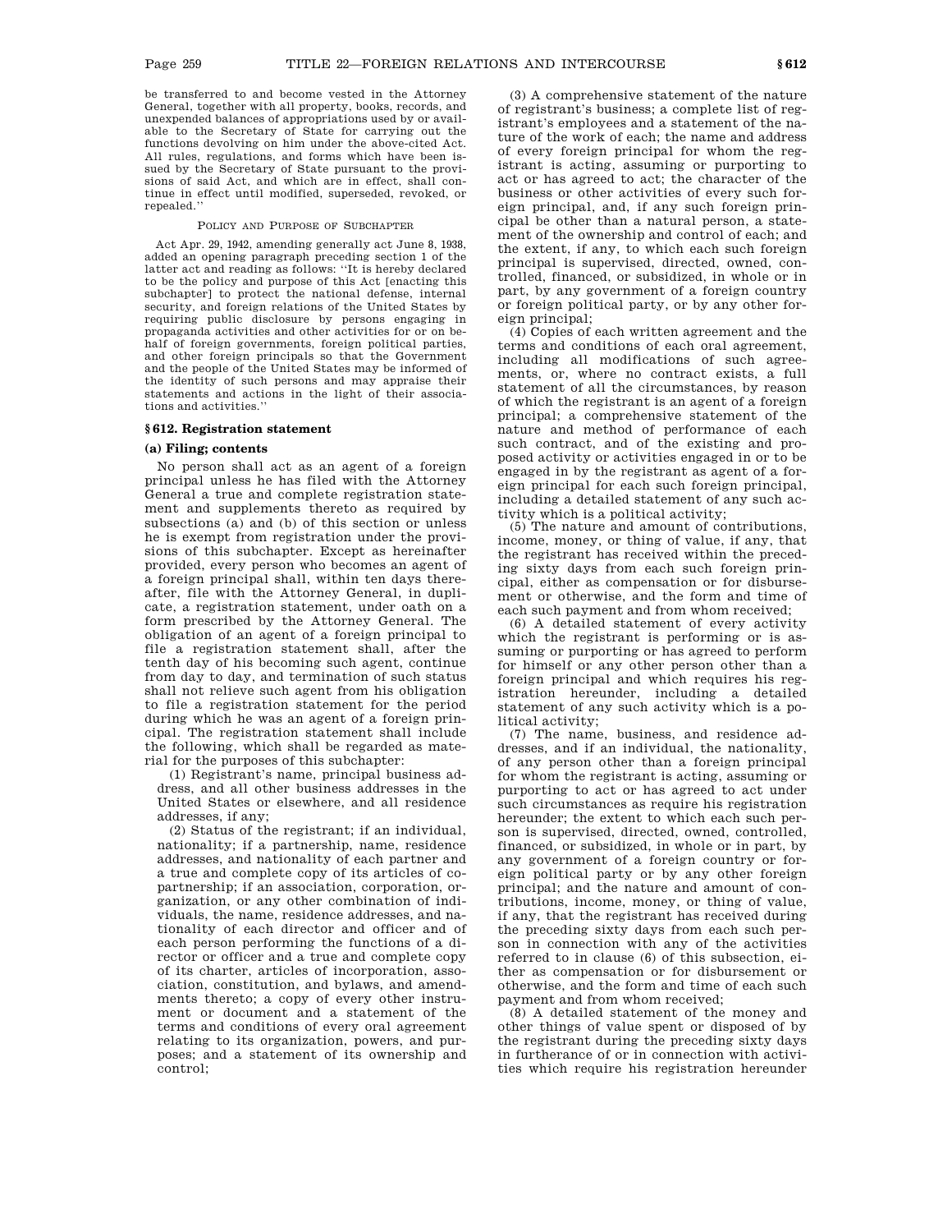be transferred to and become vested in the Attorney General, together with all property, books, records, and unexpended balances of appropriations used by or available to the Secretary of State for carrying out the functions devolving on him under the above-cited Act. All rules, regulations, and forms which have been issued by the Secretary of State pursuant to the provisions of said Act, and which are in effect, shall continue in effect until modified, superseded, revoked, or repealed.''

#### POLICY AND PURPOSE OF SUBCHAPTER

Act Apr. 29, 1942, amending generally act June 8, 1938, added an opening paragraph preceding section 1 of the latter act and reading as follows: ''It is hereby declared to be the policy and purpose of this Act [enacting this subchapter] to protect the national defense, internal security, and foreign relations of the United States by requiring public disclosure by persons engaging in propaganda activities and other activities for or on behalf of foreign governments, foreign political parties, and other foreign principals so that the Government and the people of the United States may be informed of the identity of such persons and may appraise their statements and actions in the light of their associations and activities.''

## **§ 612. Registration statement**

## **(a) Filing; contents**

No person shall act as an agent of a foreign principal unless he has filed with the Attorney General a true and complete registration statement and supplements thereto as required by subsections (a) and (b) of this section or unless he is exempt from registration under the provisions of this subchapter. Except as hereinafter provided, every person who becomes an agent of a foreign principal shall, within ten days thereafter, file with the Attorney General, in duplicate, a registration statement, under oath on a form prescribed by the Attorney General. The obligation of an agent of a foreign principal to file a registration statement shall, after the tenth day of his becoming such agent, continue from day to day, and termination of such status shall not relieve such agent from his obligation to file a registration statement for the period during which he was an agent of a foreign principal. The registration statement shall include the following, which shall be regarded as material for the purposes of this subchapter:

(1) Registrant's name, principal business address, and all other business addresses in the United States or elsewhere, and all residence addresses, if any;

(2) Status of the registrant; if an individual, nationality; if a partnership, name, residence addresses, and nationality of each partner and a true and complete copy of its articles of copartnership; if an association, corporation, organization, or any other combination of individuals, the name, residence addresses, and nationality of each director and officer and of each person performing the functions of a director or officer and a true and complete copy of its charter, articles of incorporation, association, constitution, and bylaws, and amendments thereto; a copy of every other instrument or document and a statement of the terms and conditions of every oral agreement relating to its organization, powers, and purposes; and a statement of its ownership and control;

(3) A comprehensive statement of the nature of registrant's business; a complete list of registrant's employees and a statement of the nature of the work of each; the name and address of every foreign principal for whom the registrant is acting, assuming or purporting to act or has agreed to act; the character of the business or other activities of every such foreign principal, and, if any such foreign principal be other than a natural person, a statement of the ownership and control of each; and the extent, if any, to which each such foreign principal is supervised, directed, owned, controlled, financed, or subsidized, in whole or in part, by any government of a foreign country or foreign political party, or by any other foreign principal;

(4) Copies of each written agreement and the terms and conditions of each oral agreement, including all modifications of such agreements, or, where no contract exists, a full statement of all the circumstances, by reason of which the registrant is an agent of a foreign principal; a comprehensive statement of the nature and method of performance of each such contract, and of the existing and proposed activity or activities engaged in or to be engaged in by the registrant as agent of a foreign principal for each such foreign principal, including a detailed statement of any such activity which is a political activity;

(5) The nature and amount of contributions, income, money, or thing of value, if any, that the registrant has received within the preceding sixty days from each such foreign principal, either as compensation or for disbursement or otherwise, and the form and time of each such payment and from whom received;

(6) A detailed statement of every activity which the registrant is performing or is assuming or purporting or has agreed to perform for himself or any other person other than a foreign principal and which requires his registration hereunder, including a detailed statement of any such activity which is a political activity;

(7) The name, business, and residence addresses, and if an individual, the nationality, of any person other than a foreign principal for whom the registrant is acting, assuming or purporting to act or has agreed to act under such circumstances as require his registration hereunder; the extent to which each such person is supervised, directed, owned, controlled, financed, or subsidized, in whole or in part, by any government of a foreign country or foreign political party or by any other foreign principal; and the nature and amount of contributions, income, money, or thing of value, if any, that the registrant has received during the preceding sixty days from each such person in connection with any of the activities referred to in clause (6) of this subsection, either as compensation or for disbursement or otherwise, and the form and time of each such payment and from whom received;

(8) A detailed statement of the money and other things of value spent or disposed of by the registrant during the preceding sixty days in furtherance of or in connection with activities which require his registration hereunder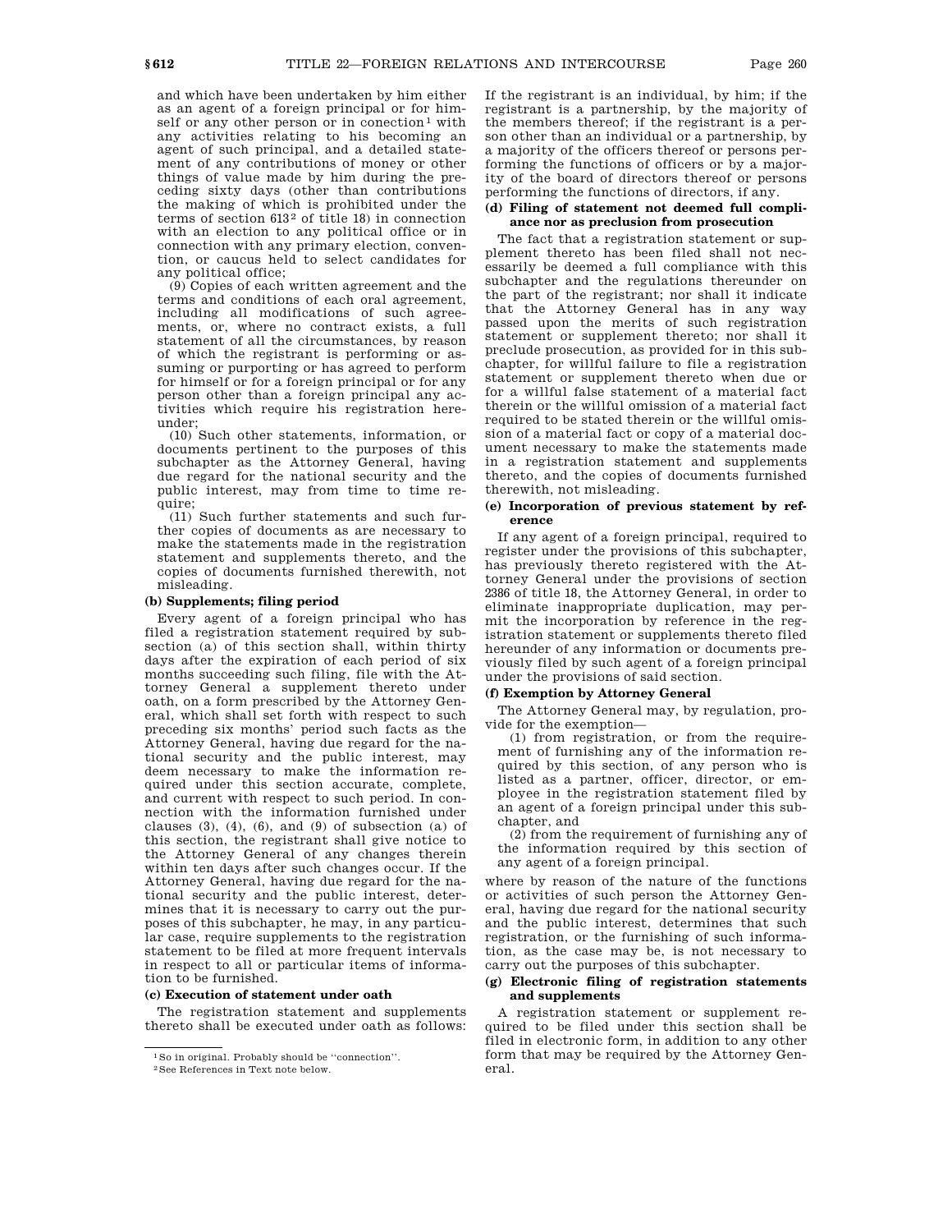and which have been undertaken by him either as an agent of a foreign principal or for himself or any other person or in conection<sup>1</sup> with any activities relating to his becoming an agent of such principal, and a detailed statement of any contributions of money or other things of value made by him during the preceding sixty days (other than contributions the making of which is prohibited under the terms of section  $613<sup>2</sup>$  of title 18) in connection with an election to any political office or in connection with any primary election, convention, or caucus held to select candidates for any political office;

(9) Copies of each written agreement and the terms and conditions of each oral agreement, including all modifications of such agreements, or, where no contract exists, a full statement of all the circumstances, by reason of which the registrant is performing or assuming or purporting or has agreed to perform for himself or for a foreign principal or for any person other than a foreign principal any activities which require his registration hereunder;

(10) Such other statements, information, or documents pertinent to the purposes of this subchapter as the Attorney General, having due regard for the national security and the public interest, may from time to time require;

(11) Such further statements and such further copies of documents as are necessary to make the statements made in the registration statement and supplements thereto, and the copies of documents furnished therewith, not misleading.

### **(b) Supplements; filing period**

Every agent of a foreign principal who has filed a registration statement required by subsection (a) of this section shall, within thirty days after the expiration of each period of six months succeeding such filing, file with the Attorney General a supplement thereto under oath, on a form prescribed by the Attorney General, which shall set forth with respect to such preceding six months' period such facts as the Attorney General, having due regard for the national security and the public interest, may deem necessary to make the information required under this section accurate, complete, and current with respect to such period. In connection with the information furnished under clauses  $(3)$ ,  $(4)$ ,  $(6)$ , and  $(9)$  of subsection  $(a)$  of this section, the registrant shall give notice to the Attorney General of any changes therein within ten days after such changes occur. If the Attorney General, having due regard for the national security and the public interest, determines that it is necessary to carry out the purposes of this subchapter, he may, in any particular case, require supplements to the registration statement to be filed at more frequent intervals in respect to all or particular items of information to be furnished.

# **(c) Execution of statement under oath**

The registration statement and supplements thereto shall be executed under oath as follows:

If the registrant is an individual, by him; if the registrant is a partnership, by the majority of the members thereof; if the registrant is a person other than an individual or a partnership, by a majority of the officers thereof or persons performing the functions of officers or by a majority of the board of directors thereof or persons performing the functions of directors, if any.

# **(d) Filing of statement not deemed full compliance nor as preclusion from prosecution**

The fact that a registration statement or supplement thereto has been filed shall not necessarily be deemed a full compliance with this subchapter and the regulations thereunder on the part of the registrant; nor shall it indicate that the Attorney General has in any way passed upon the merits of such registration statement or supplement thereto; nor shall it preclude prosecution, as provided for in this subchapter, for willful failure to file a registration statement or supplement thereto when due or for a willful false statement of a material fact therein or the willful omission of a material fact required to be stated therein or the willful omission of a material fact or copy of a material document necessary to make the statements made in a registration statement and supplements thereto, and the copies of documents furnished therewith, not misleading.

# **(e) Incorporation of previous statement by reference**

If any agent of a foreign principal, required to register under the provisions of this subchapter, has previously thereto registered with the Attorney General under the provisions of section 2386 of title 18, the Attorney General, in order to eliminate inappropriate duplication, may permit the incorporation by reference in the registration statement or supplements thereto filed hereunder of any information or documents previously filed by such agent of a foreign principal under the provisions of said section.

# **(f) Exemption by Attorney General**

The Attorney General may, by regulation, provide for the exemption—

(1) from registration, or from the requirement of furnishing any of the information required by this section, of any person who is listed as a partner, officer, director, or employee in the registration statement filed by an agent of a foreign principal under this subchapter, and

 $(2)$  from the requirement of furnishing any of the information required by this section of any agent of a foreign principal.

where by reason of the nature of the functions or activities of such person the Attorney General, having due regard for the national security and the public interest, determines that such registration, or the furnishing of such information, as the case may be, is not necessary to carry out the purposes of this subchapter.

# **(g) Electronic filing of registration statements and supplements**

A registration statement or supplement required to be filed under this section shall be filed in electronic form, in addition to any other form that may be required by the Attorney General.

<sup>1</sup>So in original. Probably should be ''connection''.

<sup>2</sup>See References in Text note below.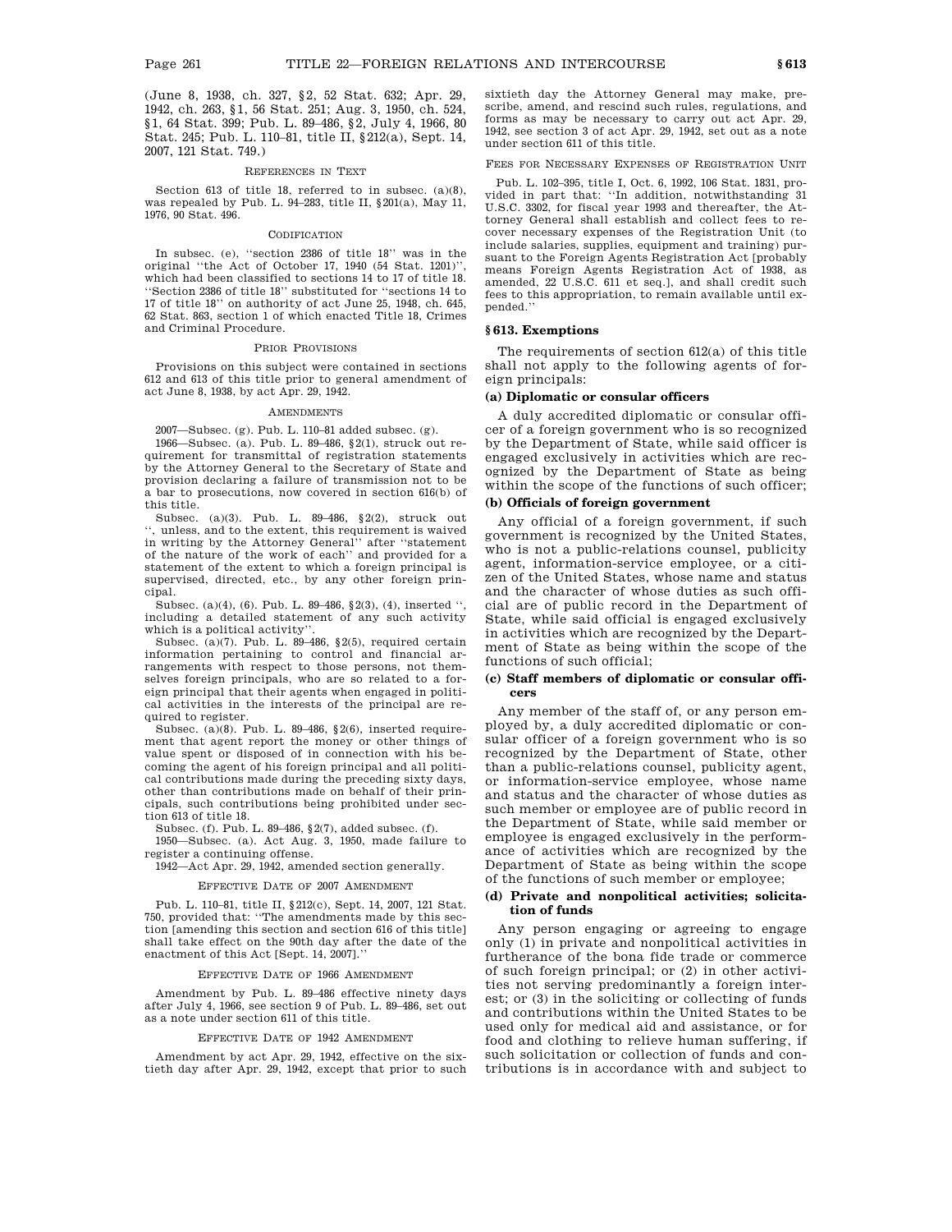(June 8, 1938, ch. 327, §2, 52 Stat. 632; Apr. 29, 1942, ch. 263, §1, 56 Stat. 251; Aug. 3, 1950, ch. 524, §1, 64 Stat. 399; Pub. L. 89–486, §2, July 4, 1966, 80 Stat. 245; Pub. L. 110–81, title II, §212(a), Sept. 14, 2007, 121 Stat. 749.)

#### REFERENCES IN TEXT

Section 613 of title 18, referred to in subsec. (a)(8), was repealed by Pub. L. 94–283, title II, §201(a), May 11, 1976, 90 Stat. 496.

#### CODIFICATION

In subsec. (e), ''section 2386 of title 18'' was in the original ''the Act of October 17, 1940 (54 Stat. 1201)'', which had been classified to sections 14 to 17 of title 18. ''Section 2386 of title 18'' substituted for ''sections 14 to 17 of title 18'' on authority of act June 25, 1948, ch. 645, 62 Stat. 863, section 1 of which enacted Title 18, Crimes and Criminal Procedure.

### PRIOR PROVISIONS

Provisions on this subject were contained in sections 612 and 613 of this title prior to general amendment of act June 8, 1938, by act Apr. 29, 1942.

#### **AMENDMENTS**

2007—Subsec. (g). Pub. L. 110–81 added subsec. (g).

1966—Subsec. (a). Pub. L. 89–486, §2(1), struck out requirement for transmittal of registration statements by the Attorney General to the Secretary of State and provision declaring a failure of transmission not to be a bar to prosecutions, now covered in section 616(b) of this title.

Subsec. (a)(3). Pub. L. 89–486, §2(2), struck out '', unless, and to the extent, this requirement is waived in writing by the Attorney General'' after ''statement of the nature of the work of each'' and provided for a statement of the extent to which a foreign principal is supervised, directed, etc., by any other foreign principal.

Subsec. (a)(4), (6). Pub. L. 89-486,  $\S 2(3)$ , (4), inserted ' including a detailed statement of any such activity which is a political activity''.

Subsec. (a)(7). Pub. L. 89–486,  $\S 2(5)$ , required certain information pertaining to control and financial arrangements with respect to those persons, not themselves foreign principals, who are so related to a foreign principal that their agents when engaged in political activities in the interests of the principal are required to register.

Subsec. (a)(8). Pub. L. 89–486, §2(6), inserted requirement that agent report the money or other things of value spent or disposed of in connection with his becoming the agent of his foreign principal and all political contributions made during the preceding sixty days, other than contributions made on behalf of their principals, such contributions being prohibited under section 613 of title 18.

Subsec. (f). Pub. L. 89–486, §2(7), added subsec. (f).

1950—Subsec. (a). Act Aug. 3, 1950, made failure to register a continuing offense.

1942—Act Apr. 29, 1942, amended section generally.

#### EFFECTIVE DATE OF 2007 AMENDMENT

Pub. L. 110–81, title II, §212(c), Sept. 14, 2007, 121 Stat. 750, provided that: ''The amendments made by this section [amending this section and section 616 of this title] shall take effect on the 90th day after the date of the enactment of this Act [Sept. 14, 2007].''

#### EFFECTIVE DATE OF 1966 AMENDMENT

Amendment by Pub. L. 89–486 effective ninety days after July 4, 1966, see section 9 of Pub. L. 89–486, set out as a note under section 611 of this title.

#### EFFECTIVE DATE OF 1942 AMENDMENT

Amendment by act Apr. 29, 1942, effective on the sixtieth day after Apr. 29, 1942, except that prior to such sixtieth day the Attorney General may make, prescribe, amend, and rescind such rules, regulations, and forms as may be necessary to carry out act Apr. 29, 1942, see section 3 of act Apr. 29, 1942, set out as a note under section 611 of this title.

FEES FOR NECESSARY EXPENSES OF REGISTRATION UNIT

Pub. L. 102–395, title I, Oct. 6, 1992, 106 Stat. 1831, provided in part that: ''In addition, notwithstanding 31 U.S.C. 3302, for fiscal year 1993 and thereafter, the Attorney General shall establish and collect fees to recover necessary expenses of the Registration Unit (to include salaries, supplies, equipment and training) pursuant to the Foreign Agents Registration Act [probably means Foreign Agents Registration Act of 1938, as amended, 22 U.S.C. 611 et seq.], and shall credit such fees to this appropriation, to remain available until expended.''

## **§ 613. Exemptions**

The requirements of section 612(a) of this title shall not apply to the following agents of foreign principals:

#### **(a) Diplomatic or consular officers**

A duly accredited diplomatic or consular officer of a foreign government who is so recognized by the Department of State, while said officer is engaged exclusively in activities which are recognized by the Department of State as being within the scope of the functions of such officer;

## **(b) Officials of foreign government**

Any official of a foreign government, if such government is recognized by the United States, who is not a public-relations counsel, publicity agent, information-service employee, or a citizen of the United States, whose name and status and the character of whose duties as such official are of public record in the Department of State, while said official is engaged exclusively in activities which are recognized by the Department of State as being within the scope of the functions of such official;

# **(c) Staff members of diplomatic or consular officers**

Any member of the staff of, or any person employed by, a duly accredited diplomatic or consular officer of a foreign government who is so recognized by the Department of State, other than a public-relations counsel, publicity agent, or information-service employee, whose name and status and the character of whose duties as such member or employee are of public record in the Department of State, while said member or employee is engaged exclusively in the performance of activities which are recognized by the Department of State as being within the scope of the functions of such member or employee;

# **(d) Private and nonpolitical activities; solicitation of funds**

Any person engaging or agreeing to engage only (1) in private and nonpolitical activities in furtherance of the bona fide trade or commerce of such foreign principal; or (2) in other activities not serving predominantly a foreign interest; or (3) in the soliciting or collecting of funds and contributions within the United States to be used only for medical aid and assistance, or for food and clothing to relieve human suffering, if such solicitation or collection of funds and contributions is in accordance with and subject to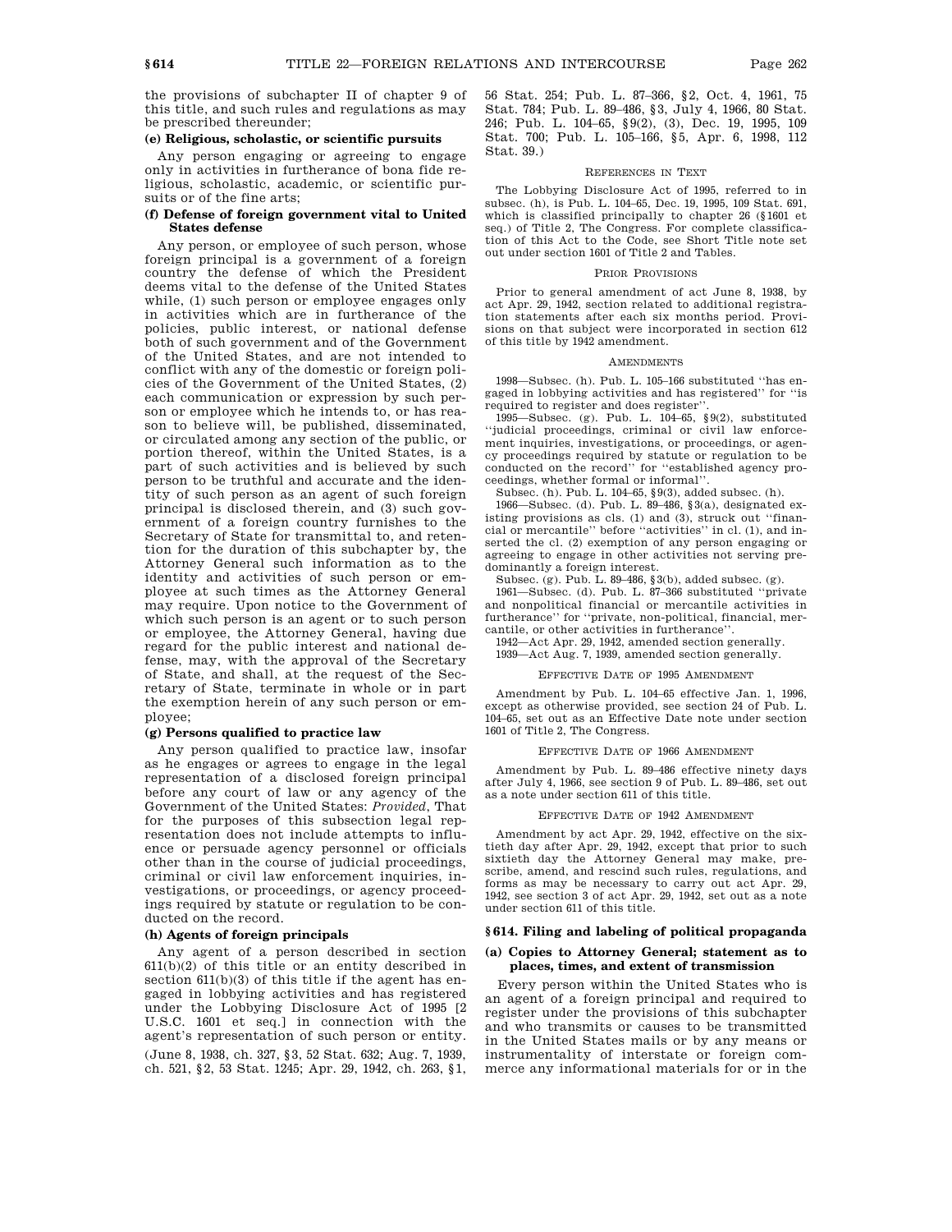the provisions of subchapter II of chapter 9 of this title, and such rules and regulations as may be prescribed thereunder;

# **(e) Religious, scholastic, or scientific pursuits**

Any person engaging or agreeing to engage only in activities in furtherance of bona fide religious, scholastic, academic, or scientific pursuits or of the fine arts;

# **(f) Defense of foreign government vital to United States defense**

Any person, or employee of such person, whose foreign principal is a government of a foreign country the defense of which the President deems vital to the defense of the United States while, (1) such person or employee engages only in activities which are in furtherance of the policies, public interest, or national defense both of such government and of the Government of the United States, and are not intended to conflict with any of the domestic or foreign policies of the Government of the United States, (2) each communication or expression by such person or employee which he intends to, or has reason to believe will, be published, disseminated, or circulated among any section of the public, or portion thereof, within the United States, is a part of such activities and is believed by such person to be truthful and accurate and the identity of such person as an agent of such foreign principal is disclosed therein, and (3) such government of a foreign country furnishes to the Secretary of State for transmittal to, and retention for the duration of this subchapter by, the Attorney General such information as to the identity and activities of such person or employee at such times as the Attorney General may require. Upon notice to the Government of which such person is an agent or to such person or employee, the Attorney General, having due regard for the public interest and national defense, may, with the approval of the Secretary of State, and shall, at the request of the Secretary of State, terminate in whole or in part the exemption herein of any such person or employee;

### **(g) Persons qualified to practice law**

Any person qualified to practice law, insofar as he engages or agrees to engage in the legal representation of a disclosed foreign principal before any court of law or any agency of the Government of the United States: *Provided*, That for the purposes of this subsection legal representation does not include attempts to influence or persuade agency personnel or officials other than in the course of judicial proceedings, criminal or civil law enforcement inquiries, investigations, or proceedings, or agency proceedings required by statute or regulation to be conducted on the record.

### **(h) Agents of foreign principals**

Any agent of a person described in section 611(b)(2) of this title or an entity described in section  $611(b)(3)$  of this title if the agent has engaged in lobbying activities and has registered under the Lobbying Disclosure Act of 1995 [2 U.S.C. 1601 et seq.] in connection with the agent's representation of such person or entity. (June 8, 1938, ch. 327, §3, 52 Stat. 632; Aug. 7, 1939, ch. 521, §2, 53 Stat. 1245; Apr. 29, 1942, ch. 263, §1,

56 Stat. 254; Pub. L. 87–366, §2, Oct. 4, 1961, 75 Stat. 784; Pub. L. 89–486, §3, July 4, 1966, 80 Stat. 246; Pub. L. 104–65, §9(2), (3), Dec. 19, 1995, 109 Stat. 700; Pub. L. 105–166, §5, Apr. 6, 1998, 112 Stat. 39.)

#### REFERENCES IN TEXT

The Lobbying Disclosure Act of 1995, referred to in subsec. (h), is Pub. L. 104–65, Dec. 19, 1995, 109 Stat. 691, which is classified principally to chapter 26 (§1601 et seq.) of Title 2, The Congress. For complete classification of this Act to the Code, see Short Title note set out under section 1601 of Title 2 and Tables.

#### PRIOR PROVISIONS

Prior to general amendment of act June 8, 1938, by act Apr. 29, 1942, section related to additional registration statements after each six months period. Provisions on that subject were incorporated in section 612 of this title by 1942 amendment.

#### AMENDMENTS

1998—Subsec. (h). Pub. L. 105–166 substituted ''has engaged in lobbying activities and has registered'' for ''is required to register and does register''.

1995—Subsec. (g). Pub. L. 104–65, §9(2), substituted ''judicial proceedings, criminal or civil law enforcement inquiries, investigations, or proceedings, or agency proceedings required by statute or regulation to be conducted on the record'' for ''established agency proceedings, whether formal or informal''.

Subsec. (h). Pub. L. 104–65, §9(3), added subsec. (h).

1966—Subsec. (d). Pub. L. 89–486, §3(a), designated existing provisions as cls. (1) and (3), struck out ''financial or mercantile'' before ''activities'' in cl. (1), and inserted the cl. (2) exemption of any person engaging or agreeing to engage in other activities not serving predominantly a foreign interest.

Subsec.  $(g)$ . Pub. L. 89–486, §3(b), added subsec.  $(g)$ .

1961—Subsec. (d). Pub. L. 87–366 substituted ''private and nonpolitical financial or mercantile activities in furtherance'' for ''private, non-political, financial, mercantile, or other activities in furtherance''.

1942—Act Apr. 29, 1942, amended section generally.

1939—Act Aug. 7, 1939, amended section generally.

# EFFECTIVE DATE OF 1995 AMENDMENT

Amendment by Pub. L. 104–65 effective Jan. 1, 1996, except as otherwise provided, see section 24 of Pub. L. 104–65, set out as an Effective Date note under section 1601 of Title 2, The Congress.

### EFFECTIVE DATE OF 1966 AMENDMENT

Amendment by Pub. L. 89–486 effective ninety days after July 4, 1966, see section 9 of Pub. L. 89–486, set out as a note under section 611 of this title.

#### EFFECTIVE DATE OF 1942 AMENDMENT

Amendment by act Apr. 29, 1942, effective on the sixtieth day after Apr. 29, 1942, except that prior to such sixtieth day the Attorney General may make, prescribe, amend, and rescind such rules, regulations, and forms as may be necessary to carry out act Apr. 29, 1942, see section 3 of act Apr. 29, 1942, set out as a note under section 611 of this title.

# **§ 614. Filing and labeling of political propaganda**

# **(a) Copies to Attorney General; statement as to places, times, and extent of transmission**

Every person within the United States who is an agent of a foreign principal and required to register under the provisions of this subchapter and who transmits or causes to be transmitted in the United States mails or by any means or instrumentality of interstate or foreign commerce any informational materials for or in the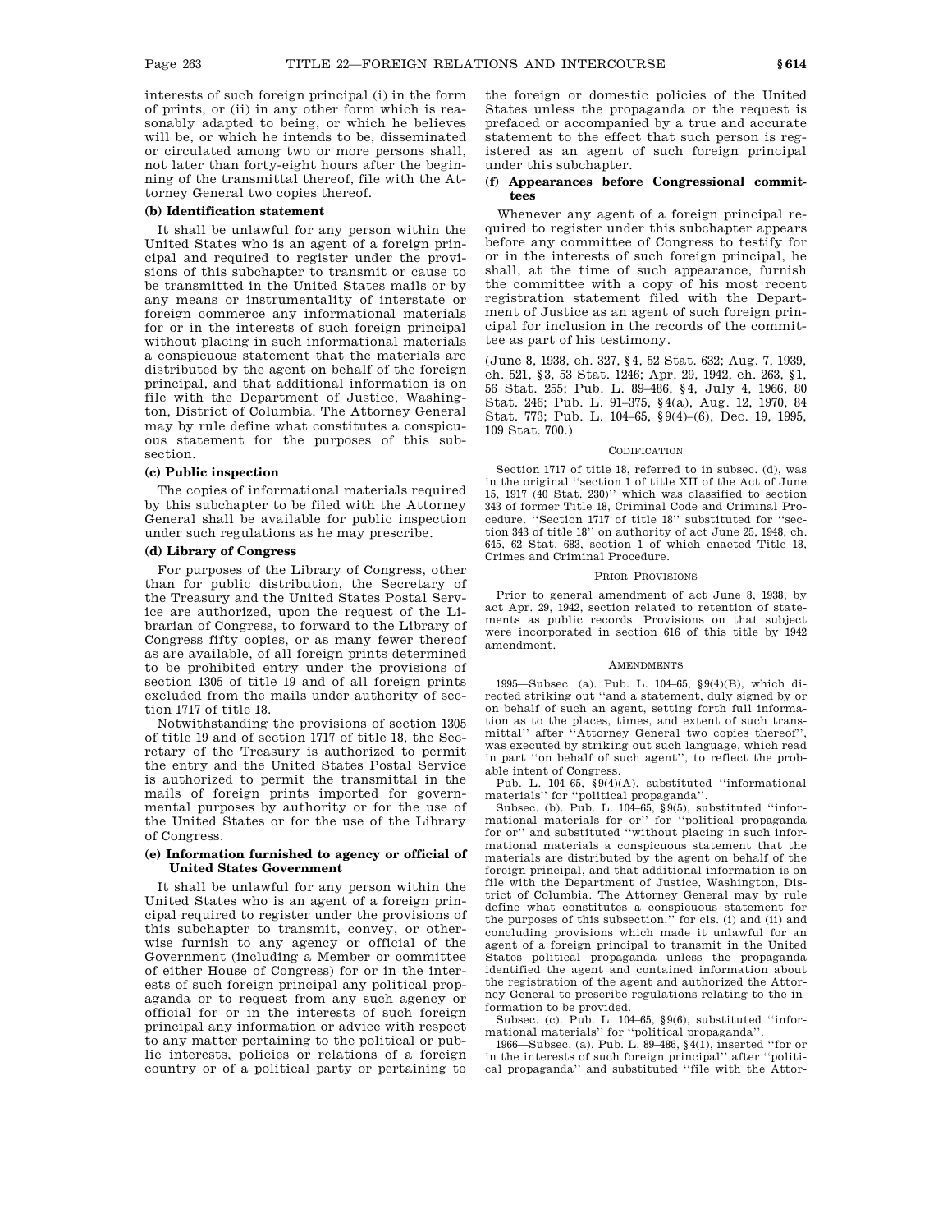interests of such foreign principal (i) in the form of prints, or (ii) in any other form which is reasonably adapted to being, or which he believes will be, or which he intends to be, disseminated or circulated among two or more persons shall, not later than forty-eight hours after the beginning of the transmittal thereof, file with the Attorney General two copies thereof.

### **(b) Identification statement**

It shall be unlawful for any person within the United States who is an agent of a foreign principal and required to register under the provisions of this subchapter to transmit or cause to be transmitted in the United States mails or by any means or instrumentality of interstate or foreign commerce any informational materials for or in the interests of such foreign principal without placing in such informational materials a conspicuous statement that the materials are distributed by the agent on behalf of the foreign principal, and that additional information is on file with the Department of Justice, Washington, District of Columbia. The Attorney General may by rule define what constitutes a conspicuous statement for the purposes of this subsection.

# **(c) Public inspection**

The copies of informational materials required by this subchapter to be filed with the Attorney General shall be available for public inspection under such regulations as he may prescribe.

# **(d) Library of Congress**

For purposes of the Library of Congress, other than for public distribution, the Secretary of the Treasury and the United States Postal Service are authorized, upon the request of the Librarian of Congress, to forward to the Library of Congress fifty copies, or as many fewer thereof as are available, of all foreign prints determined to be prohibited entry under the provisions of section 1305 of title 19 and of all foreign prints excluded from the mails under authority of section 1717 of title 18.

Notwithstanding the provisions of section 1305 of title 19 and of section 1717 of title 18, the Secretary of the Treasury is authorized to permit the entry and the United States Postal Service is authorized to permit the transmittal in the mails of foreign prints imported for governmental purposes by authority or for the use of the United States or for the use of the Library of Congress.

# **(e) Information furnished to agency or official of United States Government**

It shall be unlawful for any person within the United States who is an agent of a foreign principal required to register under the provisions of this subchapter to transmit, convey, or otherwise furnish to any agency or official of the Government (including a Member or committee of either House of Congress) for or in the interests of such foreign principal any political propaganda or to request from any such agency or official for or in the interests of such foreign principal any information or advice with respect to any matter pertaining to the political or public interests, policies or relations of a foreign country or of a political party or pertaining to

the foreign or domestic policies of the United States unless the propaganda or the request is prefaced or accompanied by a true and accurate statement to the effect that such person is registered as an agent of such foreign principal under this subchapter.

## **(f) Appearances before Congressional committees**

Whenever any agent of a foreign principal required to register under this subchapter appears before any committee of Congress to testify for or in the interests of such foreign principal, he shall, at the time of such appearance, furnish the committee with a copy of his most recent registration statement filed with the Department of Justice as an agent of such foreign principal for inclusion in the records of the committee as part of his testimony.

(June 8, 1938, ch. 327, §4, 52 Stat. 632; Aug. 7, 1939, ch. 521, §3, 53 Stat. 1246; Apr. 29, 1942, ch. 263, §1, 56 Stat. 255; Pub. L. 89–486, §4, July 4, 1966, 80 Stat. 246; Pub. L. 91–375, §4(a), Aug. 12, 1970, 84 Stat. 773; Pub. L. 104–65, §9(4)–(6), Dec. 19, 1995, 109 Stat. 700.)

#### CODIFICATION

Section 1717 of title 18, referred to in subsec. (d), was in the original ''section 1 of title XII of the Act of June 15, 1917 (40 Stat. 230)'' which was classified to section 343 of former Title 18, Criminal Code and Criminal Procedure. ''Section 1717 of title 18'' substituted for ''section 343 of title 18'' on authority of act June 25, 1948, ch. 645, 62 Stat. 683, section 1 of which enacted Title 18, Crimes and Criminal Procedure.

#### PRIOR PROVISIONS

Prior to general amendment of act June 8, 1938, by act Apr. 29, 1942, section related to retention of statements as public records. Provisions on that subject were incorporated in section 616 of this title by 1942 amendment.

#### **AMENDMENTS**

1995—Subsec. (a). Pub. L. 104–65, §9(4)(B), which directed striking out ''and a statement, duly signed by or on behalf of such an agent, setting forth full information as to the places, times, and extent of such transmittal'' after ''Attorney General two copies thereof'', was executed by striking out such language, which read in part ''on behalf of such agent'', to reflect the probable intent of Congress.

Pub. L. 104–65, §9(4)(A), substituted ''informational materials'' for ''political propaganda''.

Subsec. (b). Pub. L. 104–65, §9(5), substituted ''informational materials for or'' for ''political propaganda for or'' and substituted ''without placing in such informational materials a conspicuous statement that the materials are distributed by the agent on behalf of the foreign principal, and that additional information is on file with the Department of Justice, Washington, District of Columbia. The Attorney General may by rule define what constitutes a conspicuous statement for the purposes of this subsection.'' for cls. (i) and (ii) and concluding provisions which made it unlawful for an agent of a foreign principal to transmit in the United States political propaganda unless the propaganda identified the agent and contained information about the registration of the agent and authorized the Attorney General to prescribe regulations relating to the information to be provided.

Subsec. (c). Pub. L. 104–65, §9(6), substituted ''informational materials'' for ''political propaganda''.

1966—Subsec. (a). Pub. L. 89–486, §4(1), inserted ''for or in the interests of such foreign principal'' after ''political propaganda'' and substituted ''file with the Attor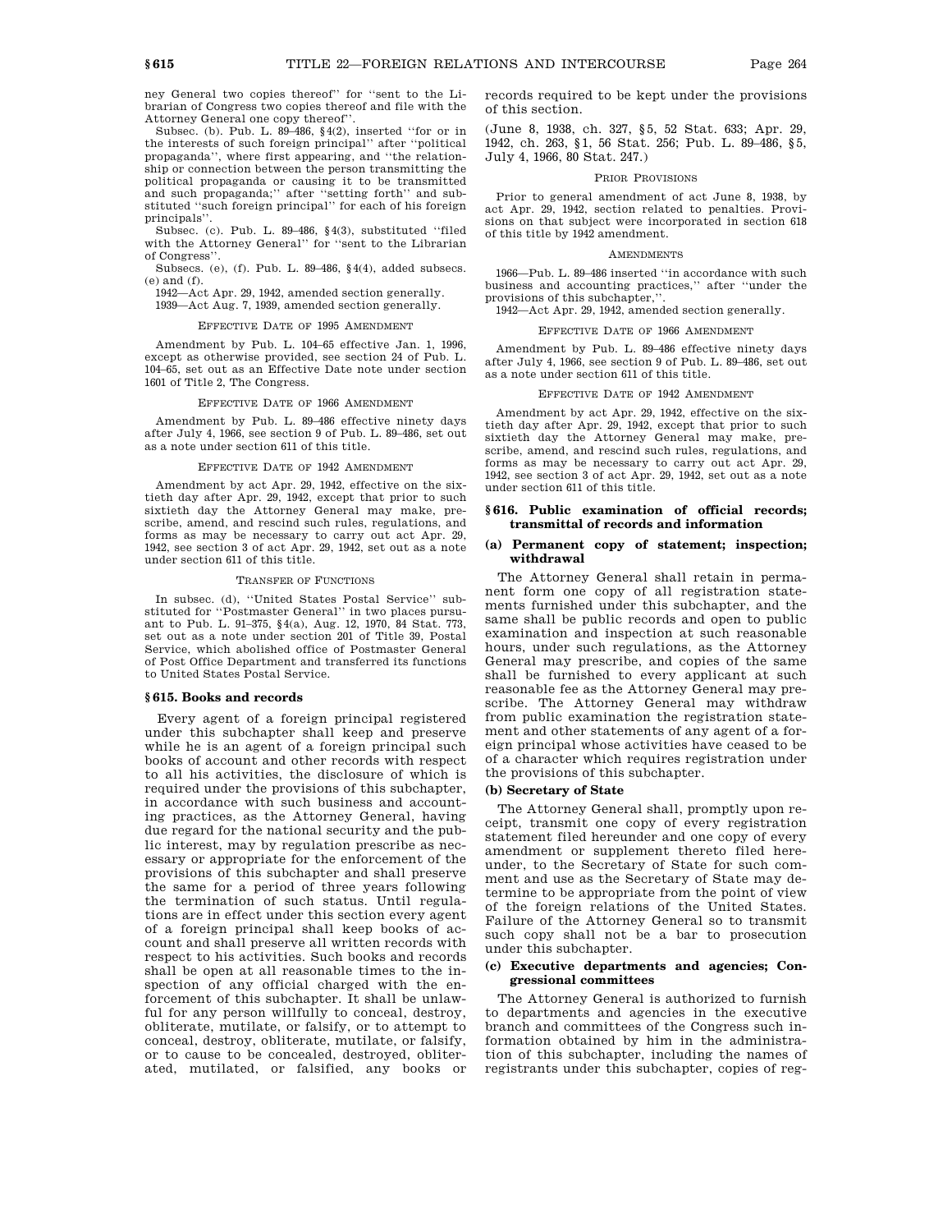ney General two copies thereof'' for ''sent to the Librarian of Congress two copies thereof and file with the Attorney General one copy thereof''.

Subsec. (b). Pub. L. 89–486, §4(2), inserted ''for or in the interests of such foreign principal'' after ''political propaganda'', where first appearing, and ''the relationship or connection between the person transmitting the political propaganda or causing it to be transmitted and such propaganda;'' after ''setting forth'' and substituted ''such foreign principal'' for each of his foreign principals''.

Subsec. (c). Pub. L. 89–486, §4(3), substituted ''filed with the Attorney General'' for ''sent to the Librarian of Congress''.

Subsecs. (e), (f). Pub. L. 89–486, §4(4), added subsecs. (e) and (f).

1942—Act Apr. 29, 1942, amended section generally.

1939—Act Aug. 7, 1939, amended section generally.

#### EFFECTIVE DATE OF 1995 AMENDMENT

Amendment by Pub. L. 104–65 effective Jan. 1, 1996, except as otherwise provided, see section 24 of Pub. L. 104–65, set out as an Effective Date note under section 1601 of Title 2, The Congress.

## EFFECTIVE DATE OF 1966 AMENDMENT

Amendment by Pub. L. 89–486 effective ninety days after July 4, 1966, see section 9 of Pub. L. 89–486, set out as a note under section 611 of this title.

#### EFFECTIVE DATE OF 1942 AMENDMENT

Amendment by act Apr. 29, 1942, effective on the sixtieth day after Apr. 29, 1942, except that prior to such sixtieth day the Attorney General may make, prescribe, amend, and rescind such rules, regulations, and forms as may be necessary to carry out act Apr. 29, 1942, see section 3 of act Apr. 29, 1942, set out as a note under section 611 of this title.

## TRANSFER OF FUNCTIONS

In subsec. (d), ''United States Postal Service'' substituted for ''Postmaster General'' in two places pursuant to Pub. L. 91–375, §4(a), Aug. 12, 1970, 84 Stat. 773, set out as a note under section 201 of Title 39, Postal Service, which abolished office of Postmaster General of Post Office Department and transferred its functions to United States Postal Service.

#### **§ 615. Books and records**

Every agent of a foreign principal registered under this subchapter shall keep and preserve while he is an agent of a foreign principal such books of account and other records with respect to all his activities, the disclosure of which is required under the provisions of this subchapter, in accordance with such business and accounting practices, as the Attorney General, having due regard for the national security and the public interest, may by regulation prescribe as necessary or appropriate for the enforcement of the provisions of this subchapter and shall preserve the same for a period of three years following the termination of such status. Until regulations are in effect under this section every agent of a foreign principal shall keep books of account and shall preserve all written records with respect to his activities. Such books and records shall be open at all reasonable times to the inspection of any official charged with the enforcement of this subchapter. It shall be unlawful for any person willfully to conceal, destroy, obliterate, mutilate, or falsify, or to attempt to conceal, destroy, obliterate, mutilate, or falsify, or to cause to be concealed, destroyed, obliterated, mutilated, or falsified, any books or

records required to be kept under the provisions of this section.

(June 8, 1938, ch. 327, §5, 52 Stat. 633; Apr. 29, 1942, ch. 263, §1, 56 Stat. 256; Pub. L. 89–486, §5, July 4, 1966, 80 Stat. 247.)

### PRIOR PROVISIONS

Prior to general amendment of act June 8, 1938, by act Apr. 29, 1942, section related to penalties. Provisions on that subject were incorporated in section 618 of this title by 1942 amendment.

## **AMENDMENTS**

1966—Pub. L. 89–486 inserted ''in accordance with such business and accounting practices,'' after ''under the provisions of this subchapter,'

1942—Act Apr. 29, 1942, amended section generally.

## EFFECTIVE DATE OF 1966 AMENDMENT

Amendment by Pub. L. 89–486 effective ninety days after July 4, 1966, see section 9 of Pub. L. 89–486, set out as a note under section 611 of this title.

#### EFFECTIVE DATE OF 1942 AMENDMENT

Amendment by act Apr. 29, 1942, effective on the sixtieth day after Apr. 29, 1942, except that prior to such sixtieth day the Attorney General may make, prescribe, amend, and rescind such rules, regulations, and forms as may be necessary to carry out act Apr. 29, 1942, see section 3 of act Apr. 29, 1942, set out as a note under section 611 of this title.

# **§ 616. Public examination of official records; transmittal of records and information**

## **(a) Permanent copy of statement; inspection; withdrawal**

The Attorney General shall retain in permanent form one copy of all registration statements furnished under this subchapter, and the same shall be public records and open to public examination and inspection at such reasonable hours, under such regulations, as the Attorney General may prescribe, and copies of the same shall be furnished to every applicant at such reasonable fee as the Attorney General may prescribe. The Attorney General may withdraw from public examination the registration statement and other statements of any agent of a foreign principal whose activities have ceased to be of a character which requires registration under the provisions of this subchapter.

## **(b) Secretary of State**

The Attorney General shall, promptly upon receipt, transmit one copy of every registration statement filed hereunder and one copy of every amendment or supplement thereto filed hereunder, to the Secretary of State for such comment and use as the Secretary of State may determine to be appropriate from the point of view of the foreign relations of the United States. Failure of the Attorney General so to transmit such copy shall not be a bar to prosecution under this subchapter.

## **(c) Executive departments and agencies; Congressional committees**

The Attorney General is authorized to furnish to departments and agencies in the executive branch and committees of the Congress such information obtained by him in the administration of this subchapter, including the names of registrants under this subchapter, copies of reg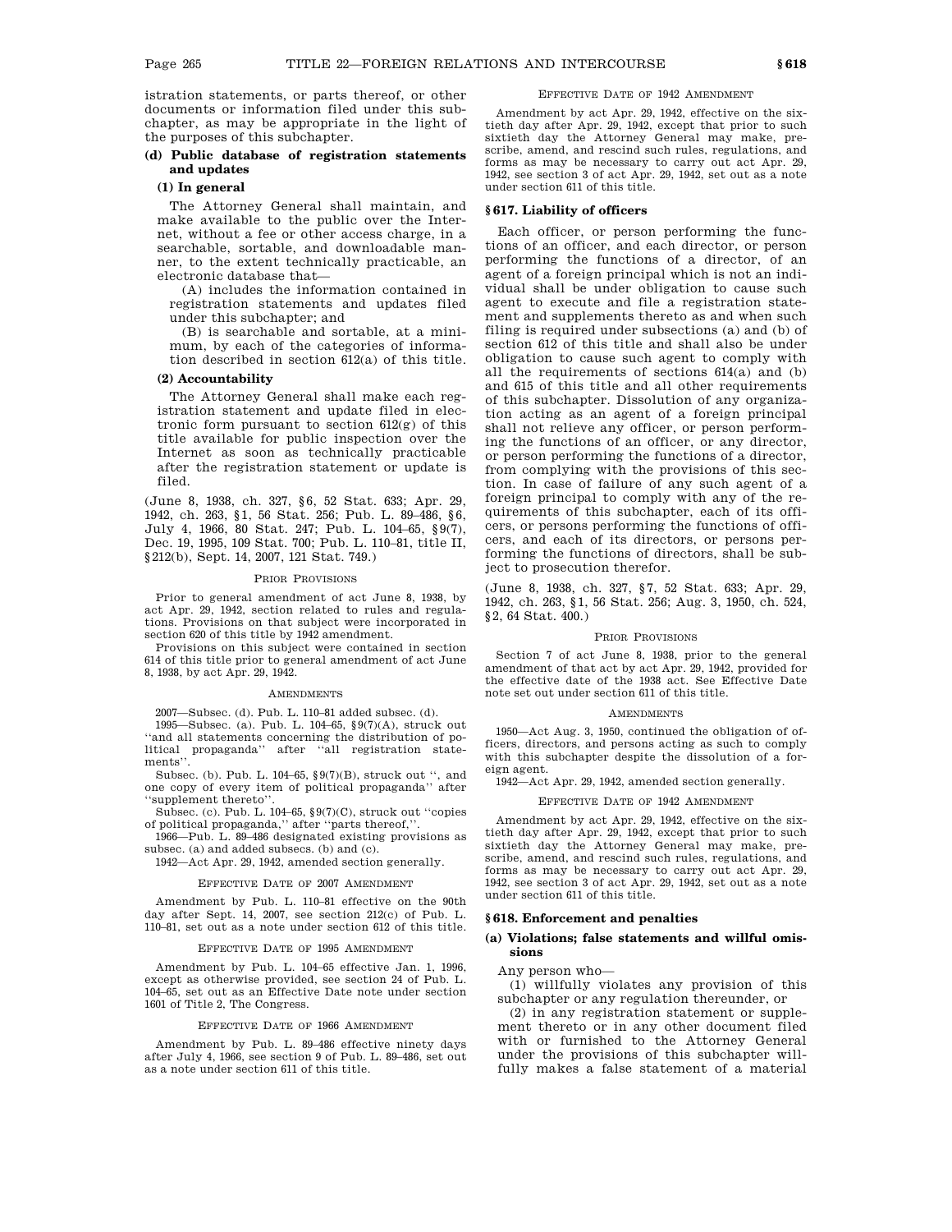istration statements, or parts thereof, or other documents or information filed under this subchapter, as may be appropriate in the light of the purposes of this subchapter.

# **(d) Public database of registration statements and updates**

# **(1) In general**

The Attorney General shall maintain, and make available to the public over the Internet, without a fee or other access charge, in a searchable, sortable, and downloadable manner, to the extent technically practicable, an electronic database that—

(A) includes the information contained in registration statements and updates filed under this subchapter; and

(B) is searchable and sortable, at a minimum, by each of the categories of information described in section 612(a) of this title.

# **(2) Accountability**

The Attorney General shall make each registration statement and update filed in electronic form pursuant to section 612(g) of this title available for public inspection over the Internet as soon as technically practicable after the registration statement or update is filed.

(June 8, 1938, ch. 327, §6, 52 Stat. 633; Apr. 29, 1942, ch. 263, §1, 56 Stat. 256; Pub. L. 89–486, §6, July 4, 1966, 80 Stat. 247; Pub. L. 104–65, §9(7), Dec. 19, 1995, 109 Stat. 700; Pub. L. 110–81, title II, §212(b), Sept. 14, 2007, 121 Stat. 749.)

### PRIOR PROVISIONS

Prior to general amendment of act June 8, 1938, by act Apr. 29, 1942, section related to rules and regulations. Provisions on that subject were incorporated in section 620 of this title by 1942 amendment.

Provisions on this subject were contained in section 614 of this title prior to general amendment of act June 8, 1938, by act Apr. 29, 1942.

#### **AMENDMENTS**

2007—Subsec. (d). Pub. L. 110–81 added subsec. (d).

1995—Subsec. (a). Pub. L. 104–65, §9(7)(A), struck out ''and all statements concerning the distribution of political propaganda'' after ''all registration statements''.

Subsec. (b). Pub. L. 104–65, §9(7)(B), struck out '', and one copy of every item of political propaganda'' after ''supplement thereto''.

Subsec. (c). Pub. L. 104–65, §9(7)(C), struck out ''copies of political propaganda,'' after ''parts thereof,''.

1966—Pub. L. 89–486 designated existing provisions as subsec. (a) and added subsecs. (b) and (c).

1942—Act Apr. 29, 1942, amended section generally.

### EFFECTIVE DATE OF 2007 AMENDMENT

Amendment by Pub. L. 110–81 effective on the 90th day after Sept. 14, 2007, see section 212(c) of Pub. L. 110–81, set out as a note under section 612 of this title.

## EFFECTIVE DATE OF 1995 AMENDMENT

Amendment by Pub. L. 104–65 effective Jan. 1, 1996, except as otherwise provided, see section 24 of Pub. L. 104–65, set out as an Effective Date note under section 1601 of Title 2, The Congress.

#### EFFECTIVE DATE OF 1966 AMENDMENT

Amendment by Pub. L. 89–486 effective ninety days after July 4, 1966, see section 9 of Pub. L. 89–486, set out as a note under section 611 of this title.

## EFFECTIVE DATE OF 1942 AMENDMENT

Amendment by act Apr. 29, 1942, effective on the sixtieth day after Apr. 29, 1942, except that prior to such sixtieth day the Attorney General may make, prescribe, amend, and rescind such rules, regulations, and forms as may be necessary to carry out act Apr. 29, 1942, see section 3 of act Apr. 29, 1942, set out as a note under section 611 of this title.

# **§ 617. Liability of officers**

Each officer, or person performing the functions of an officer, and each director, or person performing the functions of a director, of an agent of a foreign principal which is not an individual shall be under obligation to cause such agent to execute and file a registration statement and supplements thereto as and when such filing is required under subsections (a) and (b) of section 612 of this title and shall also be under obligation to cause such agent to comply with all the requirements of sections 614(a) and (b) and 615 of this title and all other requirements of this subchapter. Dissolution of any organization acting as an agent of a foreign principal shall not relieve any officer, or person performing the functions of an officer, or any director, or person performing the functions of a director, from complying with the provisions of this section. In case of failure of any such agent of a foreign principal to comply with any of the requirements of this subchapter, each of its officers, or persons performing the functions of officers, and each of its directors, or persons performing the functions of directors, shall be subject to prosecution therefor.

(June 8, 1938, ch. 327, §7, 52 Stat. 633; Apr. 29, 1942, ch. 263, §1, 56 Stat. 256; Aug. 3, 1950, ch. 524, §2, 64 Stat. 400.)

#### PRIOR PROVISIONS

Section 7 of act June 8, 1938, prior to the general amendment of that act by act Apr. 29, 1942, provided for the effective date of the 1938 act. See Effective Date note set out under section 611 of this title.

#### AMENDMENTS

1950—Act Aug. 3, 1950, continued the obligation of officers, directors, and persons acting as such to comply with this subchapter despite the dissolution of a foreign agent.

1942—Act Apr. 29, 1942, amended section generally.

### EFFECTIVE DATE OF 1942 AMENDMENT

Amendment by act Apr. 29, 1942, effective on the sixtieth day after Apr. 29, 1942, except that prior to such sixtieth day the Attorney General may make, prescribe, amend, and rescind such rules, regulations, and forms as may be necessary to carry out act Apr. 29, 1942, see section 3 of act Apr. 29, 1942, set out as a note under section 611 of this title.

#### **§ 618. Enforcement and penalties**

## **(a) Violations; false statements and willful omissions**

#### Any person who—

(1) willfully violates any provision of this subchapter or any regulation thereunder, or

(2) in any registration statement or supplement thereto or in any other document filed with or furnished to the Attorney General under the provisions of this subchapter willfully makes a false statement of a material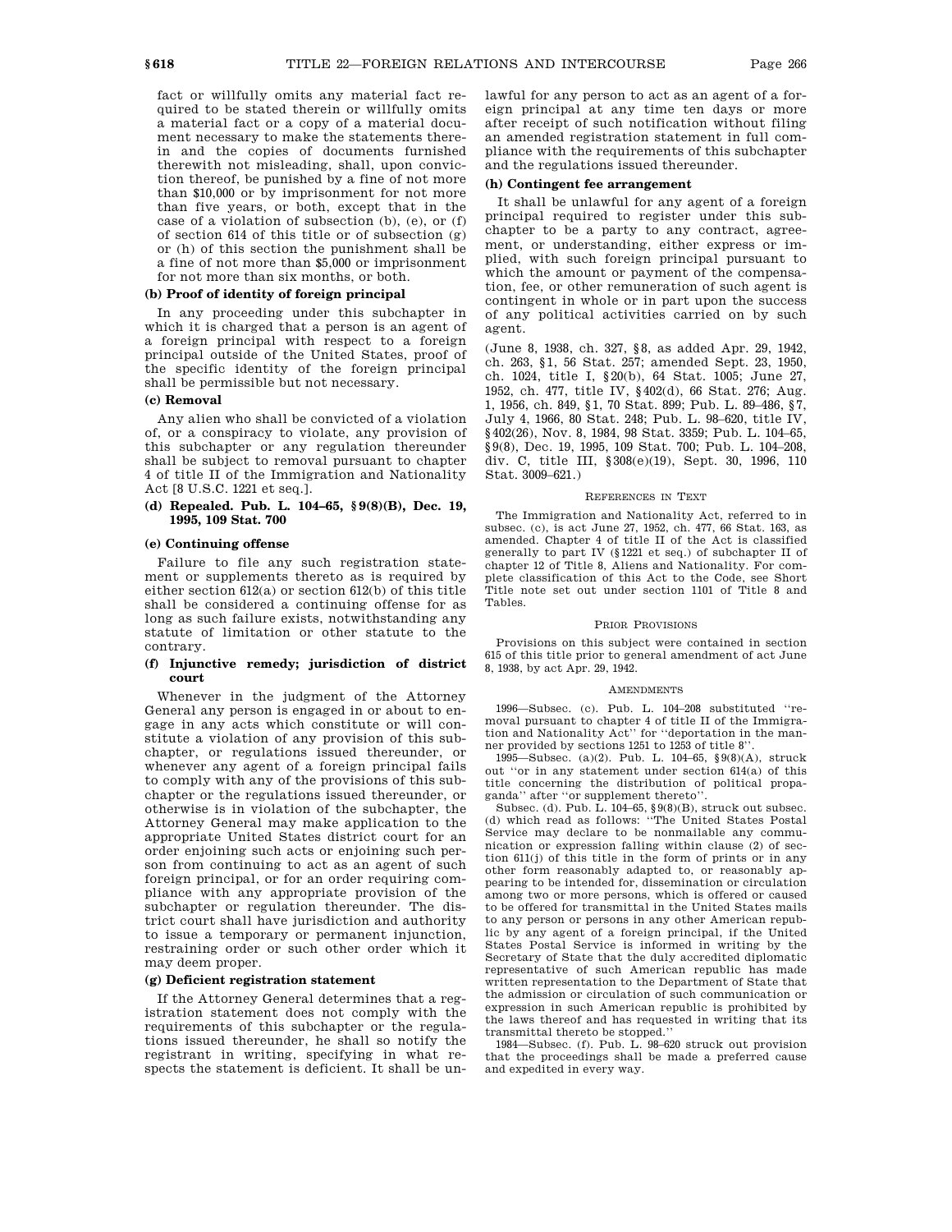fact or willfully omits any material fact required to be stated therein or willfully omits a material fact or a copy of a material document necessary to make the statements therein and the copies of documents furnished therewith not misleading, shall, upon conviction thereof, be punished by a fine of not more than \$10,000 or by imprisonment for not more than five years, or both, except that in the case of a violation of subsection (b), (e), or (f) of section 614 of this title or of subsection (g) or (h) of this section the punishment shall be a fine of not more than \$5,000 or imprisonment for not more than six months, or both.

# **(b) Proof of identity of foreign principal**

In any proceeding under this subchapter in which it is charged that a person is an agent of a foreign principal with respect to a foreign principal outside of the United States, proof of the specific identity of the foreign principal shall be permissible but not necessary.

## **(c) Removal**

Any alien who shall be convicted of a violation of, or a conspiracy to violate, any provision of this subchapter or any regulation thereunder shall be subject to removal pursuant to chapter 4 of title II of the Immigration and Nationality Act [8 U.S.C. 1221 et seq.].

# **(d) Repealed. Pub. L. 104–65, § 9(8)(B), Dec. 19, 1995, 109 Stat. 700**

### **(e) Continuing offense**

Failure to file any such registration statement or supplements thereto as is required by either section 612(a) or section 612(b) of this title shall be considered a continuing offense for as long as such failure exists, notwithstanding any statute of limitation or other statute to the contrary.

# **(f) Injunctive remedy; jurisdiction of district court**

Whenever in the judgment of the Attorney General any person is engaged in or about to engage in any acts which constitute or will constitute a violation of any provision of this subchapter, or regulations issued thereunder, or whenever any agent of a foreign principal fails to comply with any of the provisions of this subchapter or the regulations issued thereunder, or otherwise is in violation of the subchapter, the Attorney General may make application to the appropriate United States district court for an order enjoining such acts or enjoining such person from continuing to act as an agent of such foreign principal, or for an order requiring compliance with any appropriate provision of the subchapter or regulation thereunder. The district court shall have jurisdiction and authority to issue a temporary or permanent injunction, restraining order or such other order which it may deem proper.

### **(g) Deficient registration statement**

If the Attorney General determines that a registration statement does not comply with the requirements of this subchapter or the regulations issued thereunder, he shall so notify the registrant in writing, specifying in what respects the statement is deficient. It shall be unlawful for any person to act as an agent of a foreign principal at any time ten days or more after receipt of such notification without filing an amended registration statement in full compliance with the requirements of this subchapter and the regulations issued thereunder.

# **(h) Contingent fee arrangement**

It shall be unlawful for any agent of a foreign principal required to register under this subchapter to be a party to any contract, agreement, or understanding, either express or implied, with such foreign principal pursuant to which the amount or payment of the compensation, fee, or other remuneration of such agent is contingent in whole or in part upon the success of any political activities carried on by such agent.

(June 8, 1938, ch. 327, §8, as added Apr. 29, 1942, ch. 263, §1, 56 Stat. 257; amended Sept. 23, 1950, ch. 1024, title I, §20(b), 64 Stat. 1005; June 27, 1952, ch. 477, title IV, §402(d), 66 Stat. 276; Aug. 1, 1956, ch. 849, §1, 70 Stat. 899; Pub. L. 89–486, §7, July 4, 1966, 80 Stat. 248; Pub. L. 98–620, title IV, §402(26), Nov. 8, 1984, 98 Stat. 3359; Pub. L. 104–65, §9(8), Dec. 19, 1995, 109 Stat. 700; Pub. L. 104–208, div. C, title III, §308(e)(19), Sept. 30, 1996, 110 Stat. 3009–621.)

#### REFERENCES IN TEXT

The Immigration and Nationality Act, referred to in subsec. (c), is act June 27, 1952, ch. 477, 66 Stat. 163, as amended. Chapter 4 of title II of the Act is classified generally to part IV (§1221 et seq.) of subchapter II of chapter 12 of Title 8, Aliens and Nationality. For complete classification of this Act to the Code, see Short Title note set out under section 1101 of Title 8 and Tables.

### PRIOR PROVISIONS

Provisions on this subject were contained in section 615 of this title prior to general amendment of act June 8, 1938, by act Apr. 29, 1942.

### AMENDMENTS

1996—Subsec. (c). Pub. L. 104–208 substituted ''removal pursuant to chapter 4 of title II of the Immigration and Nationality Act'' for ''deportation in the manner provided by sections 1251 to 1253 of title 8''.

1995—Subsec. (a)(2). Pub. L. 104–65, §9(8)(A), struck out ''or in any statement under section 614(a) of this title concerning the distribution of political propaganda'' after ''or supplement thereto''.

Subsec. (d). Pub. L. 104–65, §9(8)(B), struck out subsec. (d) which read as follows: ''The United States Postal Service may declare to be nonmailable any communication or expression falling within clause (2) of section 611(j) of this title in the form of prints or in any other form reasonably adapted to, or reasonably appearing to be intended for, dissemination or circulation among two or more persons, which is offered or caused to be offered for transmittal in the United States mails to any person or persons in any other American republic by any agent of a foreign principal, if the United States Postal Service is informed in writing by the Secretary of State that the duly accredited diplomatic representative of such American republic has made written representation to the Department of State that the admission or circulation of such communication or expression in such American republic is prohibited by the laws thereof and has requested in writing that its transmittal thereto be stopped.''

1984—Subsec. (f). Pub. L. 98–620 struck out provision that the proceedings shall be made a preferred cause and expedited in every way.